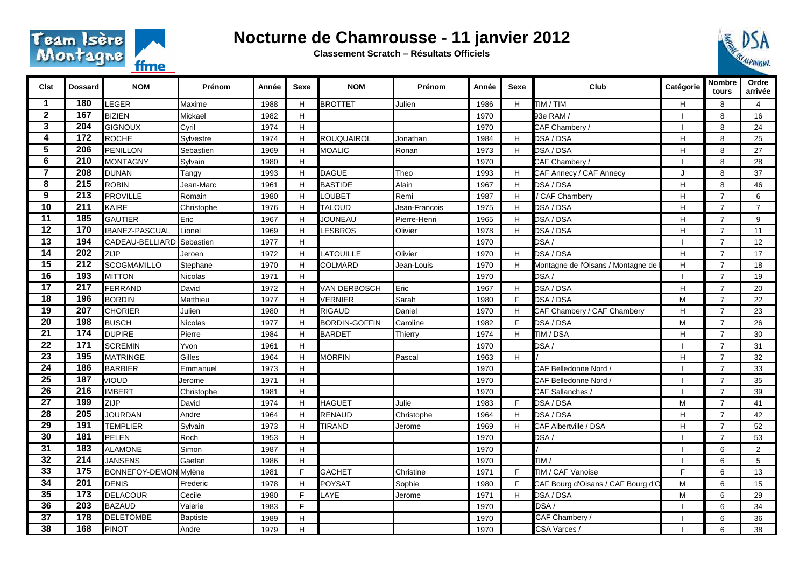

## **Nocturne de Chamrousse - 11 janvier 2012**

**Classement Scratch – Résultats Officiels**



| <b>Clst</b>             | <b>Dossard</b>   | <b>NOM</b>                   | Prénom          | Année | Sexe | <b>NOM</b>           | Prénom        | Année | Sexe | Club                               | Catégorie    | Nombre<br>tours | Ordre<br>arrivée |
|-------------------------|------------------|------------------------------|-----------------|-------|------|----------------------|---------------|-------|------|------------------------------------|--------------|-----------------|------------------|
| 1                       | 180              | LEGER                        | Maxime          | 1988  | H    | <b>BROTTET</b>       | Julien        | 1986  | H.   | TIM / TIM                          | H            | 8               | $\overline{4}$   |
| $\mathbf{2}$            | 167              | <b>BIZIEN</b>                | Mickael         | 1982  | H    |                      |               | 1970  |      | 93e RAM /                          |              | 8               | 16               |
| $\overline{\mathbf{3}}$ | 204              | GIGNOUX                      | Cyril           | 1974  | H.   |                      |               | 1970  |      | CAF Chambery/                      |              | 8               | 24               |
| 4                       | $\overline{172}$ | <b>ROCHE</b>                 | Sylvestre       | 1974  | H    | <b>ROUQUAIROL</b>    | Jonathan      | 1984  | H.   | DSA / DSA                          | H            | 8               | 25               |
| 5                       | 206              | <b>PENILLON</b>              | Sebastien       | 1969  | Н    | <b>MOALIC</b>        | Ronan         | 1973  | H.   | DSA / DSA                          | H            | 8               | 27               |
| $\overline{6}$          | $\overline{210}$ | MONTAGNY                     | Sylvain         | 1980  | H.   |                      |               | 1970  |      | CAF Chambery/                      |              | 8               | 28               |
| $\overline{7}$          | 208              | <b>DUNAN</b>                 | Tangy           | 1993  | H.   | <b>DAGUE</b>         | Theo          | 1993  | H.   | CAF Annecy / CAF Annecy            | J            | 8               | 37               |
| 8                       | 215              | <b>ROBIN</b>                 | Jean-Marc       | 1961  | H    | <b>BASTIDE</b>       | Alain         | 1967  | H.   | DSA / DSA                          | $\mathsf{H}$ | 8               | 46               |
| 9                       | 213              | <b>PROVILLE</b>              | Romain          | 1980  | H.   | LOUBET               | Remi          | 1987  | H.   | / CAF Chambery                     | H            | $\overline{7}$  | 6                |
| 10                      | $\overline{211}$ | <b>KAIRE</b>                 | Christophe      | 1976  | H.   | <b>TALOUD</b>        | Jean-Francois | 1975  | H.   | DSA / DSA                          | H            | $\overline{7}$  | $\overline{7}$   |
| $\overline{11}$         | 185              | <b>GAUTIER</b>               | Eric            | 1967  | H    | <b>JOUNEAU</b>       | Pierre-Henri  | 1965  | H.   | DSA / DSA                          | H            | $\overline{7}$  | 9                |
| 12                      | 170              | <b>IBANEZ-PASCUAL</b>        | Lionel          | 1969  | H    | <b>ESBROS</b>        | Olivier       | 1978  | H.   | DSA / DSA                          | H            | $\overline{7}$  | 11               |
| $\overline{13}$         | 194              | CADEAU-BELLIARD              | Sebastien       | 1977  | H.   |                      |               | 1970  |      | DSA/                               |              | $\overline{7}$  | 12               |
| 14                      | 202              | ZIJP                         | Jeroen          | 1972  | H.   | LATOUILLE            | Olivier       | 1970  | H.   | DSA / DSA                          | H            | $\overline{7}$  | 17               |
| $\overline{15}$         | 212              | <b>SCOGMAMILLO</b>           | Stephane        | 1970  | H    | COLMARD              | Jean-Louis    | 1970  | H.   | Montagne de l'Oisans / Montagne de | H            | $\overline{7}$  | 18               |
| $\overline{16}$         | 193              | <b>MITTON</b>                | Nicolas         | 1971  | H.   |                      |               | 1970  |      | DSA/                               |              | $\overline{7}$  | 19               |
| 17                      | 217              | FERRAND                      | David           | 1972  | H.   | VAN DERBOSCH         | Eric          | 1967  | H.   | DSA / DSA                          | H            | $\overline{7}$  | 20               |
| 18                      | 196              | <b>BORDIN</b>                | Matthieu        | 1977  | H    | <b>VERNIER</b>       | Sarah         | 1980  | F.   | DSA / DSA                          | M            | $\overline{7}$  | 22               |
| $\overline{19}$         | 207              | <b>CHORIER</b>               | Julien          | 1980  | H    | <b>RIGAUD</b>        | Daniel        | 1970  | H.   | CAF Chambery / CAF Chambery        | H            | $\overline{7}$  | 23               |
| $\overline{20}$         | 198              | <b>BUSCH</b>                 | Nicolas         | 1977  | H    | <b>BORDIN-GOFFIN</b> | Caroline      | 1982  | F.   | DSA / DSA                          | M            | $\overline{7}$  | 26               |
| 21                      | 174              | <b>DUPIRE</b>                | Pierre          | 1984  | H.   | <b>BARDET</b>        | Thierry       | 1974  | H.   | TIM / DSA                          | H            | $\overline{7}$  | 30               |
| 22                      | 171              | <b>SCREMIN</b>               | Yvon            | 1961  | H    |                      |               | 1970  |      | DSA/                               |              | $\overline{7}$  | 31               |
| $\overline{23}$         | 195              | <b>MATRINGE</b>              | Gilles          | 1964  | H.   | <b>MORFIN</b>        | Pascal        | 1963  | H.   |                                    | H            | $\overline{7}$  | 32               |
| $\overline{24}$         | 186              | <b>BARBIER</b>               | Emmanuel        | 1973  | H    |                      |               | 1970  |      | CAF Belledonne Nord /              |              | $\overline{7}$  | 33               |
| $\overline{25}$         | 187              | <b>JIOUD</b>                 | Jerome          | 1971  | H    |                      |               | 1970  |      | CAF Belledonne Nord /              |              | $\overline{7}$  | 35               |
| 26                      | $\overline{216}$ | <b>IMBERT</b>                | Christophe      | 1981  | H.   |                      |               | 1970  |      | CAF Sallanches /                   |              | $\overline{7}$  | 39               |
| $\overline{27}$         | 199              | ZIJP                         | David           | 1974  | H.   | <b>HAGUET</b>        | Julie         | 1983  | F.   | DSA / DSA                          | М            | $\overline{7}$  | 41               |
| 28                      | 205              | <b>JOURDAN</b>               | Andre           | 1964  | H.   | <b>RENAUD</b>        | Christophe    | 1964  | H.   | DSA / DSA                          | H            | $\overline{7}$  | 42               |
| $\overline{29}$         | 191              | <b>TEMPLIER</b>              | Sylvain         | 1973  | Н    | <b>TIRAND</b>        | Jerome        | 1969  | H.   | CAF Albertville / DSA              | H            | $\overline{7}$  | 52               |
| 30                      | $\overline{181}$ | PELEN                        | Roch            | 1953  | H.   |                      |               | 1970  |      | DSA/                               |              | $\overline{7}$  | 53               |
| 31                      | $\overline{183}$ | <b>ALAMONE</b>               | Simon           | 1987  | H.   |                      |               | 1970  |      |                                    |              | 6               | $\overline{2}$   |
| 32                      | 214              | <b>JANSENS</b>               | Gaetan          | 1986  | H    |                      |               | 1970  |      | TIM/                               |              | 6               | 5                |
| 33                      | 175              | <b>BONNEFOY-DEMON Mylène</b> |                 | 1981  | F    | <b>GACHET</b>        | Christine     | 1971  | F.   | TIM / CAF Vanoise                  | F            | 6               | 13               |
| $\overline{34}$         | 201              | <b>DENIS</b>                 | Frederic        | 1978  | H.   | <b>POYSAT</b>        | Sophie        | 1980  | F.   | CAF Bourg d'Oisans / CAF Bourg d'O | M            | 6               | 15               |
| 35                      | 173              | <b>DELACOUR</b>              | Cecile          | 1980  | E    | LAYE                 | Jerome        | 1971  | H.   | DSA / DSA                          | M            | 6               | 29               |
| 36                      | 203              | <b>BAZAUD</b>                | Valerie         | 1983  | F    |                      |               | 1970  |      | DSA/                               |              | 6               | 34               |
| 37                      | 178              | <b>DELETOMBE</b>             | <b>Baptiste</b> | 1989  | H.   |                      |               | 1970  |      | CAF Chambery /                     |              | 6               | 36               |
| 38                      | 168              | <b>PINOT</b>                 | Andre           | 1979  | H    |                      |               | 1970  |      | CSA Varces /                       |              | 6               | 38               |